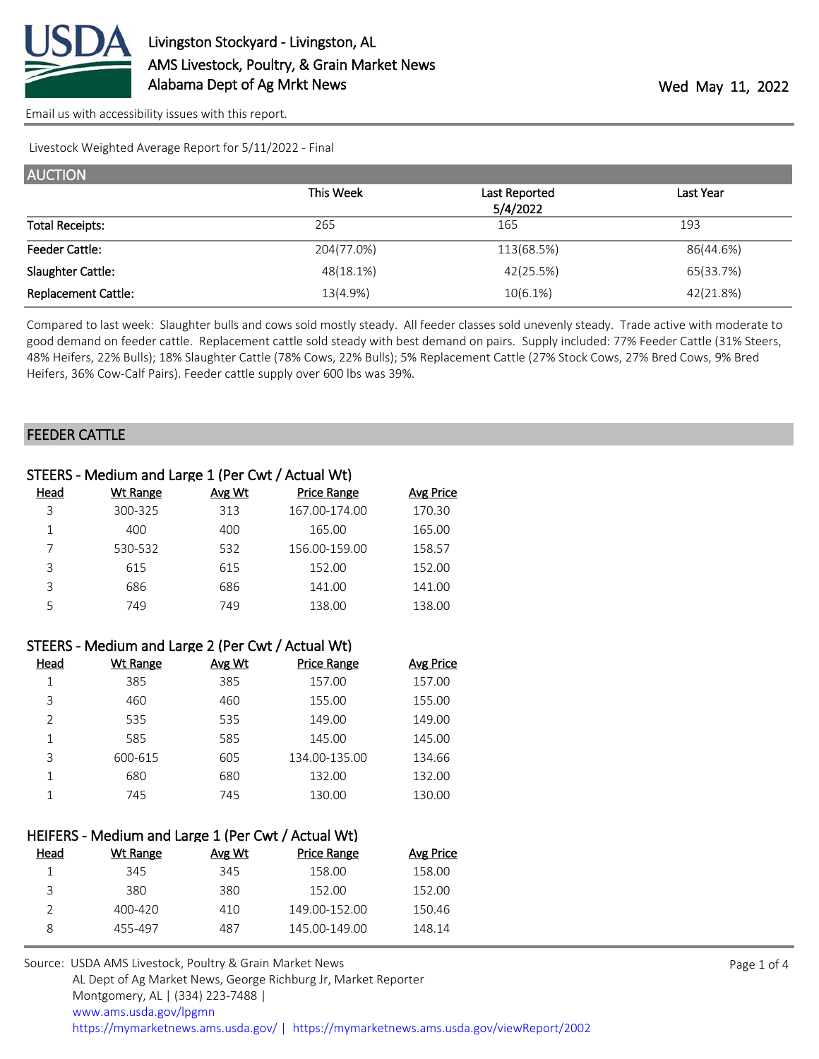

[Email us with accessibility issues with this report.](mailto:mars@ams.usda.gov?subject=508%20issue)

Livestock Weighted Average Report for 5/11/2022 - Final

| <b>AUCTION</b>             |            |               |           |
|----------------------------|------------|---------------|-----------|
|                            | This Week  | Last Reported | Last Year |
|                            |            | 5/4/2022      |           |
| <b>Total Receipts:</b>     | 265        | 165           | 193       |
| <b>Feeder Cattle:</b>      | 204(77.0%) | 113(68.5%)    | 86(44.6%) |
| Slaughter Cattle:          | 48(18.1%)  | 42(25.5%)     | 65(33.7%) |
| <b>Replacement Cattle:</b> | 13(4.9%)   | 10(6.1%)      | 42(21.8%) |

Compared to last week: Slaughter bulls and cows sold mostly steady. All feeder classes sold unevenly steady. Trade active with moderate to good demand on feeder cattle. Replacement cattle sold steady with best demand on pairs. Supply included: 77% Feeder Cattle (31% Steers, 48% Heifers, 22% Bulls); 18% Slaughter Cattle (78% Cows, 22% Bulls); 5% Replacement Cattle (27% Stock Cows, 27% Bred Cows, 9% Bred Heifers, 36% Cow-Calf Pairs). Feeder cattle supply over 600 lbs was 39%.

#### FEEDER CATTLE

|      | STEERS - Medium and Large 1 (Per Cwt / Actual Wt) |        |                    |                  |
|------|---------------------------------------------------|--------|--------------------|------------------|
| Head | Wt Range                                          | Avg Wt | <b>Price Range</b> | <b>Avg Price</b> |
| 3    | 300-325                                           | 313    | 167.00-174.00      | 170.30           |
| 1    | 400                                               | 400    | 165.00             | 165.00           |
|      | 530-532                                           | 532    | 156.00-159.00      | 158.57           |
| 3    | 615                                               | 615    | 152.00             | 152.00           |
| 3    | 686                                               | 686    | 141.00             | 141.00           |
|      | 749                                               | 749    | 138.00             | 138.00           |

|               | STEERS - Medium and Large 2 (Per Cwt / Actual Wt) |        |                    |                  |
|---------------|---------------------------------------------------|--------|--------------------|------------------|
| <b>Head</b>   | <b>Wt Range</b>                                   | Avg Wt | <b>Price Range</b> | <b>Avg Price</b> |
| 1             | 385                                               | 385    | 157.00             | 157.00           |
| 3             | 460                                               | 460    | 155.00             | 155.00           |
| $\mathcal{P}$ | 535                                               | 535    | 149.00             | 149.00           |
| 1             | 585                                               | 585    | 145.00             | 145.00           |
| 3             | 600-615                                           | 605    | 134.00-135.00      | 134.66           |
| 1             | 680                                               | 680    | 132.00             | 132.00           |
|               | 745                                               | 745    | 130.00             | 130.00           |

|               | HEIFERS - Medium and Large 1 (Per Cwt / Actual Wt) |        |                    |                  |  |  |
|---------------|----------------------------------------------------|--------|--------------------|------------------|--|--|
| Head          | Wt Range                                           | Avg Wt | <b>Price Range</b> | <b>Avg Price</b> |  |  |
|               | 345                                                | 345    | 158.00             | 158.00           |  |  |
| 3             | 380                                                | 380    | 152.00             | 152.00           |  |  |
| $\mathcal{P}$ | $400 - 420$                                        | 410    | 149.00-152.00      | 150.46           |  |  |
| 8             | 455-497                                            | 487    | 145.00-149.00      | 148.14           |  |  |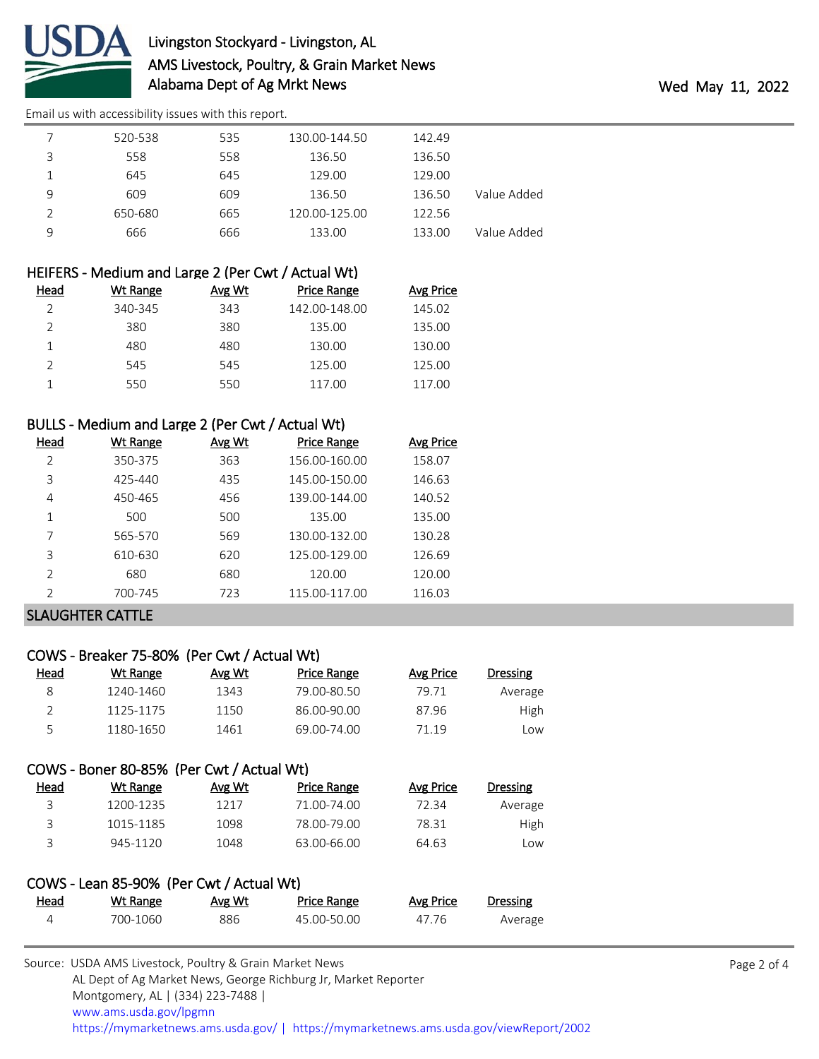

# Livingston Stockyard - Livingston, AL AMS Livestock, Poultry, & Grain Market News Alabama Dept of Ag Mrkt News **Wed May 11, 2022**

[Email us with accessibility issues with this report.](mailto:mars@ams.usda.gov?subject=508%20issue)

|   | 520-538 | 535 | 130.00-144.50 | 142.49 |             |  |
|---|---------|-----|---------------|--------|-------------|--|
| 3 | 558     | 558 | 136.50        | 136.50 |             |  |
|   | 645     | 645 | 129.00        | 129.00 |             |  |
| 9 | 609     | 609 | 136.50        | 136.50 | Value Added |  |
|   | 650-680 | 665 | 120.00-125.00 | 122.56 |             |  |
| 9 | 666     | 666 | 133.00        | 133.00 | Value Added |  |

# HEIFERS - Medium and Large 2 (Per Cwt / Actual Wt)

| Head | Wt Range | Avg Wt | Price Range   | <b>Avg Price</b> |
|------|----------|--------|---------------|------------------|
|      | 340-345  | 343    | 142.00-148.00 | 145.02           |
|      | 380      | 380    | 135.00        | 135.00           |
|      | 480      | 480    | 130.00        | 130.00           |
|      | 545      | 545    | 125.00        | 125.00           |
|      | 550      | 550    | 117.00        | 117.00           |

## BULLS - Medium and Large 2 (Per Cwt / Actual Wt)

| Wt Range | Avg Wt | Price Range   | Avg Price |
|----------|--------|---------------|-----------|
| 350-375  | 363    | 156.00-160.00 | 158.07    |
| 425-440  | 435    | 145.00-150.00 | 146.63    |
| 450-465  | 456    | 139.00-144.00 | 140.52    |
| 500      | 500    | 135.00        | 135.00    |
| 565-570  | 569    | 130.00-132.00 | 130.28    |
| 610-630  | 620    | 125.00-129.00 | 126.69    |
| 680      | 680    | 120.00        | 120.00    |
| 700-745  | 723    | 115.00-117.00 | 116.03    |
|          |        |               |           |

#### SLAUGHTER CATTLE

# COWS - Breaker 75-80% (Per Cwt / Actual Wt)

| <u>Head</u> | Wt Range  | Avg Wt | Price Range | Avg Price | Dressing |
|-------------|-----------|--------|-------------|-----------|----------|
|             | 1240-1460 | 1343   | 79.00-80.50 | 79.71     | Average  |
|             | 1125-1175 | 1150   | 86.00-90.00 | 87.96     | High     |
| ∽           | 1180-1650 | 1461   | 69.00-74.00 | 71.19     | _OW      |

## COWS - Boner 80-85% (Per Cwt / Actual Wt)

| <u>Head</u> | Wt Range  | Avg Wt | Price Range | Avg Price | Dressing    |
|-------------|-----------|--------|-------------|-----------|-------------|
|             | 1200-1235 | 1217   | 71.00-74.00 | 72.34     | Average     |
|             | 1015-1185 | 1098   | 78.00-79.00 | 78.31     | <b>High</b> |
|             | 945-1120  | 1048   | 63.00-66.00 | 64.63     | Low         |

#### COWS - Lean 85-90% (Per Cwt / Actual Wt) Head Wt Range Avg Wt Price Range Avg Price Dressing

| <u>neau</u> | <b>WU NATILE</b> | AVE VVL | <b>PHILE NOTIFIE</b> | AVE FILE | <u>UI ESSIIIR</u> |
|-------------|------------------|---------|----------------------|----------|-------------------|
|             | 700-1060         | 886     | 45.00-50.00          | 47.76    | Average           |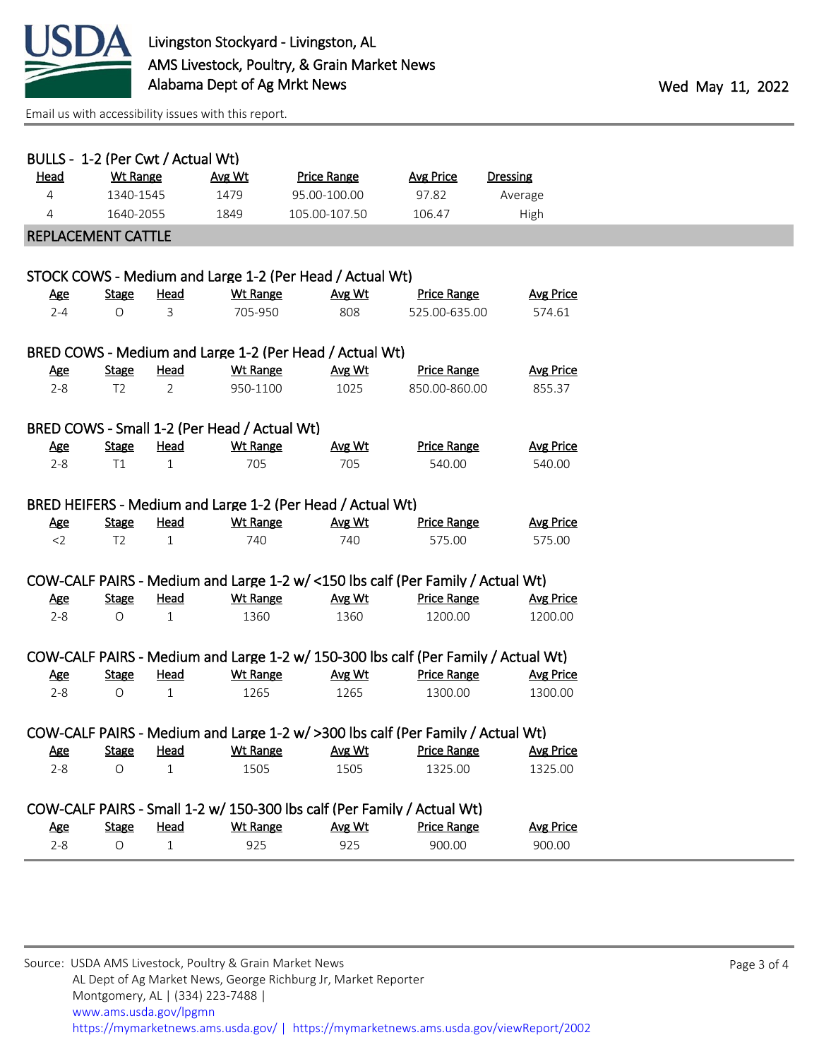

[Email us with accessibility issues with this report.](mailto:mars@ams.usda.gov?subject=508%20issue)

| BULLS - 1-2 (Per Cwt / Actual Wt) |                |              |                                              |                                                                                   |                                                                                    |                  |
|-----------------------------------|----------------|--------------|----------------------------------------------|-----------------------------------------------------------------------------------|------------------------------------------------------------------------------------|------------------|
| Head                              | Wt Range       |              | Avg Wt                                       | <b>Price Range</b>                                                                | <b>Avg Price</b>                                                                   | <b>Dressing</b>  |
| 4                                 | 1340-1545      |              | 1479                                         | 95.00-100.00                                                                      | 97.82                                                                              | Average          |
| 4                                 | 1640-2055      |              | 1849                                         | 105.00-107.50                                                                     | 106.47                                                                             | High             |
| REPLACEMENT CATTLE                |                |              |                                              |                                                                                   |                                                                                    |                  |
|                                   |                |              |                                              |                                                                                   |                                                                                    |                  |
|                                   |                |              |                                              | STOCK COWS - Medium and Large 1-2 (Per Head / Actual Wt)                          |                                                                                    |                  |
| <u>Age</u>                        | <b>Stage</b>   | <b>Head</b>  | <b>Wt Range</b>                              | Avg Wt                                                                            | <b>Price Range</b>                                                                 | <b>Avg Price</b> |
| $2 - 4$                           | $\circ$        | 3            | 705-950                                      | 808                                                                               | 525.00-635.00                                                                      | 574.61           |
|                                   |                |              |                                              |                                                                                   |                                                                                    |                  |
|                                   |                |              |                                              | BRED COWS - Medium and Large 1-2 (Per Head / Actual Wt)                           |                                                                                    |                  |
| <u>Age</u>                        | <b>Stage</b>   | <u>Head</u>  | <b>Wt Range</b>                              | Avg Wt                                                                            | <b>Price Range</b>                                                                 | <b>Avg Price</b> |
| $2 - 8$                           | T <sub>2</sub> | 2            | 950-1100                                     | 1025                                                                              | 850.00-860.00                                                                      | 855.37           |
|                                   |                |              |                                              |                                                                                   |                                                                                    |                  |
|                                   |                |              | BRED COWS - Small 1-2 (Per Head / Actual Wt) |                                                                                   |                                                                                    |                  |
| <u>Age</u>                        | <b>Stage</b>   | <u>Head</u>  | <b>Wt Range</b>                              | Avg Wt                                                                            | <b>Price Range</b>                                                                 | <b>Avg Price</b> |
| $2 - 8$                           | T1             | $\mathbf{1}$ | 705                                          | 705                                                                               | 540.00                                                                             | 540.00           |
|                                   |                |              |                                              |                                                                                   |                                                                                    |                  |
|                                   |                |              |                                              | BRED HEIFERS - Medium and Large 1-2 (Per Head / Actual Wt)                        |                                                                                    |                  |
| <b>Age</b>                        | <b>Stage</b>   | <u>Head</u>  | <b>Wt Range</b>                              | Avg Wt                                                                            | <b>Price Range</b>                                                                 | <b>Avg Price</b> |
| $<$ 2                             | T <sub>2</sub> | 1            | 740                                          | 740                                                                               | 575.00                                                                             | 575.00           |
|                                   |                |              |                                              |                                                                                   |                                                                                    |                  |
|                                   |                |              |                                              |                                                                                   | COW-CALF PAIRS - Medium and Large 1-2 w/ <150 lbs calf (Per Family / Actual Wt)    |                  |
| <u>Age</u>                        | <b>Stage</b>   | <u>Head</u>  | <b>Wt Range</b>                              | Avg Wt                                                                            | <b>Price Range</b>                                                                 | <b>Avg Price</b> |
| $2 - 8$                           | O              | 1            | 1360                                         | 1360                                                                              | 1200.00                                                                            | 1200.00          |
|                                   |                |              |                                              |                                                                                   |                                                                                    |                  |
|                                   |                |              |                                              |                                                                                   | COW-CALF PAIRS - Medium and Large 1-2 w/ 150-300 lbs calf (Per Family / Actual Wt) |                  |
| <u>Age</u>                        | <b>Stage</b>   | <u>Head</u>  | <b>Wt Range</b>                              | Avg Wt                                                                            | <b>Price Range</b>                                                                 | <b>Avg Price</b> |
| $2 - 8$                           | $\circ$        | $\mathbf{1}$ | 1265                                         | 1265                                                                              | 1300.00                                                                            | 1300.00          |
|                                   |                |              |                                              |                                                                                   |                                                                                    |                  |
|                                   |                |              |                                              |                                                                                   | COW-CALF PAIRS - Medium and Large 1-2 w/ >300 lbs calf (Per Family / Actual Wt)    |                  |
| <u>Age</u>                        | <u>Stage</u>   |              | Head Wt Range                                | <u>Avg Wt</u>                                                                     | <b>Price Range</b>                                                                 | <b>Avg Price</b> |
| $2 - 8$                           | $\circ$        | $\mathbf{1}$ | 1505                                         | 1505                                                                              | 1325.00                                                                            | 1325.00          |
|                                   |                |              |                                              |                                                                                   |                                                                                    |                  |
|                                   | <b>Stage</b>   | <b>Head</b>  | <b>Wt Range</b>                              | COW-CALF PAIRS - Small 1-2 w/ 150-300 lbs calf (Per Family / Actual Wt)<br>Avg Wt | <b>Price Range</b>                                                                 | <b>Avg Price</b> |
| <u>Age</u><br>$2 - 8$             | $\mathsf O$    | $\mathbf 1$  | 925                                          | 925                                                                               | 900.00                                                                             | 900.00           |
|                                   |                |              |                                              |                                                                                   |                                                                                    |                  |